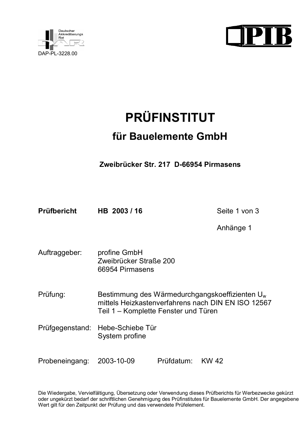



# **PRÜFINSTITUT**

## für Bauelemente GmbH

Zweibrücker Str. 217 D-66954 Pirmasens

Prüfbericht HB 2003/16 Seite 1 von 3

Anhänge 1

Auftraggeber: profine GmbH Zweibrücker Straße 200 66954 Pirmasens

Bestimmung des Wärmedurchgangskoeffizienten U<sub>w</sub> Prüfung: mittels Heizkastenverfahrens nach DIN EN ISO 12567 Teil 1 - Komplette Fenster und Türen

Prüfgegenstand: Hebe-Schiebe Tür System profine

Probeneingang: 2003-10-09 Prüfdatum: KW 42

Die Wiedergabe, Vervielfältigung, Übersetzung oder Verwendung dieses Prüfberichts für Werbezwecke gekürzt oder ungekürzt bedarf der schriftlichen Genehmigung des Prüfinstitutes für Bauelemente GmbH. Der angegebene Wert gilt für den Zeitpunkt der Prüfung und das verwendete Prüfelement.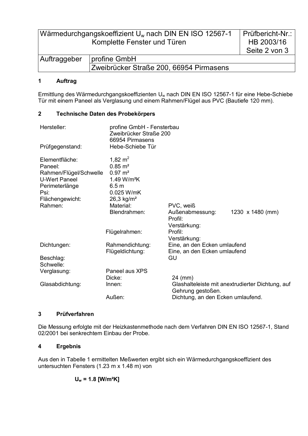| Wärmedurchgangskoeffizient U <sub>w</sub> nach DIN EN ISO 12567-1 | Prüfbericht-Nr.:                        |               |
|-------------------------------------------------------------------|-----------------------------------------|---------------|
| Komplette Fenster und Türen                                       |                                         | HB 2003/16    |
|                                                                   |                                         | Seite 2 von 3 |
| Auftraggeber                                                      | profine GmbH                            |               |
|                                                                   | Zweibrücker Straße 200, 66954 Pirmasens |               |

#### $\overline{1}$ Auftrag

Ermittlung des Wärmedurchgangskoeffizienten U<sub>w</sub> nach DIN EN ISO 12567-1 für eine Hebe-Schiebe Tür mit einem Paneel als Verglasung und einem Rahmen/Flügel aus PVC (Bautiefe 120 mm).

#### $\overline{2}$ Technische Daten des Probekörpers

| Hersteller:                                                                                    | profine GmbH - Fensterbau<br>Zweibrücker Straße 200<br>66954 Pirmasens                                                   |                                                                       |                         |
|------------------------------------------------------------------------------------------------|--------------------------------------------------------------------------------------------------------------------------|-----------------------------------------------------------------------|-------------------------|
| Prüfgegenstand:                                                                                | Hebe-Schiebe Tür                                                                                                         |                                                                       |                         |
| Elementfläche:<br>Paneel:<br>Rahmen/Flügel/Schwelle<br>U-Wert Paneel<br>Perimeterlänge<br>Psi: | 1,82 $m2$<br>$0.85 \; \text{m}^2$<br>$0.97 \; \text{m}^2$<br>1.49 W/m <sup>2</sup> K<br>6.5 <sub>m</sub><br>$0.025$ W/mK |                                                                       |                         |
| Flächengewicht:<br>Rahmen:                                                                     | $26,3$ kg/m <sup>2</sup><br>Material:                                                                                    | PVC, weiß                                                             |                         |
|                                                                                                | Blendrahmen:                                                                                                             | Außenabmessung:<br>Profil:<br>Verstärkung:                            | 1230 $\times$ 1480 (mm) |
|                                                                                                | Flügelrahmen:                                                                                                            | Profil:<br>Verstärkung:                                               |                         |
| Dichtungen:                                                                                    | Rahmendichtung:<br>Flügeldichtung:                                                                                       | Eine, an den Ecken umlaufend<br>Eine, an den Ecken umlaufend          |                         |
| Beschlag:<br>Schwelle:                                                                         |                                                                                                                          | GU                                                                    |                         |
| Verglasung:                                                                                    | Paneel aus XPS<br>Dicke:                                                                                                 | 24 (mm)                                                               |                         |
| Glasabdichtung:                                                                                | Innen:                                                                                                                   | Glashalteleiste mit anextrudierter Dichtung, auf<br>Gehrung gestoßen. |                         |
|                                                                                                | Außen:                                                                                                                   | Dichtung, an den Ecken umlaufend.                                     |                         |

#### $\overline{3}$ Prüfverfahren

Die Messung erfolgte mit der Heizkastenmethode nach dem Verfahren DIN EN ISO 12567-1, Stand 02/2001 bei senkrechtem Einbau der Probe.

#### $\overline{\mathbf{4}}$ **Ergebnis**

Aus den in Tabelle 1 ermittelten Meßwerten ergibt sich ein Wärmedurchgangskoeffizient des untersuchten Fensters (1.23 m x 1.48 m) von

$$
U_w = 1.8
$$
 [W/m<sup>2</sup>K]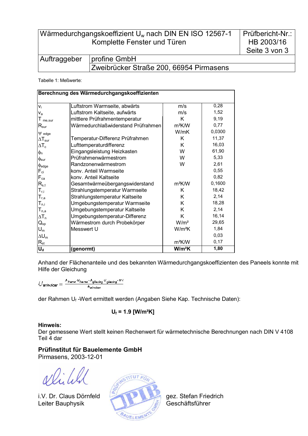Wärmedurchgangskoeffizient Uw nach DIN EN ISO 12567-1 Komplette Fenster und Türen

| Auftraggeber   profine GmbH |                                         |  |  |
|-----------------------------|-----------------------------------------|--|--|
|                             | Zweibrücker Straße 200, 66954 Pirmasens |  |  |

Tabelle 1: Meßwerte:

| Berechnung des Wärmedurchgangskoeffizienten |                                    |                    |        |  |  |
|---------------------------------------------|------------------------------------|--------------------|--------|--|--|
|                                             |                                    |                    |        |  |  |
| $V_i$                                       | Luftstrom Warmseite, abwärts       | m/s                | 0,28   |  |  |
| $V_a$                                       | Luftstrom Kaltseite, aufwärts      | m/s                | 1,52   |  |  |
| $T_{me,sur}$                                | mittlere Prüfrahmentemperatur      | K                  | 9,19   |  |  |
| $R_{\sf sur}$                               | Wärmedurchlaßwiderstand Prüfrahmen | m <sup>2</sup> K/W | 0,77   |  |  |
| $\Psi$ edge                                 |                                    | W/mK               | 0,0300 |  |  |
| $\Delta T_{\rm sur}$                        | Temperatur-Differenz Prüfrahmen    | K                  | 11,37  |  |  |
| $\Delta T_c$                                | Lufttemperaturdifferenz            | K                  | 16,03  |  |  |
| $\phi_{n}$                                  | Eingangsleistung Heizkasten        | W                  | 61,90  |  |  |
| $\phi_{\text{sur}}$                         | Prüfrahmenwärmestrom               | W                  | 5,33   |  |  |
| $\phi_{\text{edge}}$                        | Randzonenwärmestrom                | W                  | 2,61   |  |  |
| $F_{ci}$                                    | konv. Anteil Warmseite             |                    | 0,55   |  |  |
| $F_{ca}$                                    | konv. Anteil Kaltseite             |                    | 0,82   |  |  |
| $R_{s,t}$                                   | Gesamtwärmeübergangswiderstand     | $m^2$ K/W          | 0,1600 |  |  |
| $T_{r,i}$                                   | Strahlungstemperatur Warmseite     | Κ                  | 18,42  |  |  |
| $T_{r,a}$                                   | Strahlungstemperatur Kaltseite     | Κ                  | 2,14   |  |  |
| $\mathsf{T}_{\mathsf{n},\mathsf{i}}$        | Umgebungstemperatur Warmseite      | Κ                  | 18,28  |  |  |
| $\mathsf{T}_{\mathsf{n},\mathsf{a}}$        | Umgebungstemperatur Kaltseite      | Κ                  | 2,14   |  |  |
| $\Delta T_n$                                | Umgebungstemperatur-Differenz      | K                  | 16,14  |  |  |
| $Q_{sp}$                                    | Wärmestrom durch Probekörper       | W/m <sup>2</sup>   | 29,65  |  |  |
| $U_m$                                       | Messwert U                         | $W/m^2K$           | 1,84   |  |  |
| $\Delta U_m$                                |                                    |                    | 0,03   |  |  |
| $R_{st}$                                    |                                    | m <sup>2</sup> K/W | 0,17   |  |  |
| $U_d$                                       | (genormt)                          | W/m <sup>2</sup> K | 1,80   |  |  |

Anhand der Flächenanteile und des bekannten Wärmedurchgangskoeffizienten des Paneels konnte mit Hilfe der Gleichung

$$
U_{\textit{window}} = \tfrac{A_{\textit{frame}} \cdot V_{\textit{frame}} \cdot A_{\textit{glacing}} \cdot V_{\textit{glazing}} \cdot V \cdot I}{A_{\textit{window}}}
$$

der Rahmen U<sub>f</sub>-Wert ermittelt werden (Angaben Siehe Kap. Technische Daten):

$$
U_f = 1.9 [W/m^2K]
$$

### Hinweis:

Der gemessene Wert stellt keinen Rechenwert für wärmetechnische Berechnungen nach DIN V 4108 Teil 4 dar

## Prüfinstitut für Bauelemente GmbH

Pirmasens, 2003-12-01

i.V. Dr. Claus Dörnfeld Leiter Bauphysik



gez. Stefan Friedrich Geschäftsführer

Prüfbericht-Nr.: HB 2003/16 Seite 3 von 3